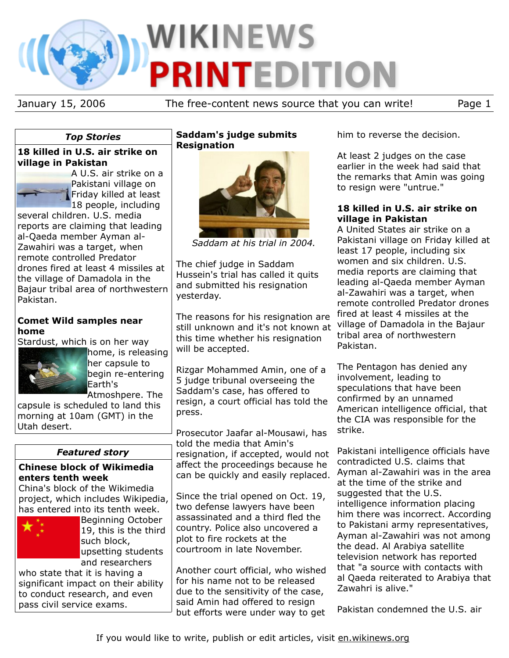

January 15, 2006 The free-content news source that you can write! Page 1

# *Top Stories*

## **18 killed in U.S. air strike on village in Pakistan**

A U.S. air strike on a Pakistani village on Friday killed at least 18 people, including

several children. U.S. media reports are claiming that leading al-Qaeda member Ayman al-Zawahiri was a target, when remote controlled Predator drones fired at least 4 missiles at the village of Damadola in the Bajaur tribal area of northwestern Pakistan.

## **Comet Wild samples near home**

Stardust, which is on her way



home, is releasing her capsule to begin re-entering Earth's Atmoshpere. The

capsule is scheduled to land this morning at 10am (GMT) in the Utah desert.

# *Featured story*

## **Chinese block of Wikimedia enters tenth week**

China's block of the Wikimedia project, which includes Wikipedia, has entered into its tenth week.



Beginning October 19, this is the third such block, upsetting students and researchers

who state that it is having a significant impact on their ability to conduct research, and even pass civil service exams.

# **Saddam's judge submits Resignation**



*Saddam at his trial in 2004.*

The chief judge in Saddam Hussein's trial has called it quits and submitted his resignation yesterday.

The reasons for his resignation are still unknown and it's not known at this time whether his resignation will be accepted.

Rizgar Mohammed Amin, one of a 5 judge tribunal overseeing the Saddam's case, has offered to resign, a court official has told the press.

Prosecutor Jaafar al-Mousawi, has told the media that Amin's resignation, if accepted, would not affect the proceedings because he can be quickly and easily replaced.

Since the trial opened on Oct. 19, two defense lawyers have been assassinated and a third fled the country. Police also uncovered a plot to fire rockets at the courtroom in late November.

Another court official, who wished for his name not to be released due to the sensitivity of the case, said Amin had offered to resign but efforts were under way to get him to reverse the decision.

At least 2 judges on the case earlier in the week had said that the remarks that Amin was going to resign were "untrue."

## **18 killed in U.S. air strike on village in Pakistan**

A United States air strike on a Pakistani village on Friday killed at least 17 people, including six women and six children. U.S. media reports are claiming that leading al-Qaeda member Ayman al-Zawahiri was a target, when remote controlled Predator drones fired at least 4 missiles at the village of Damadola in the Bajaur tribal area of northwestern Pakistan.

The Pentagon has denied any involvement, leading to speculations that have been confirmed by an unnamed American intelligence official, that the CIA was responsible for the strike.

Pakistani intelligence officials have contradicted U.S. claims that Ayman al-Zawahiri was in the area at the time of the strike and suggested that the U.S. intelligence information placing him there was incorrect. According to Pakistani army representatives, Ayman al-Zawahiri was not among the dead. Al Arabiya satellite television network has reported that "a source with contacts with al Qaeda reiterated to Arabiya that Zawahri is alive."

Pakistan condemned the U.S. air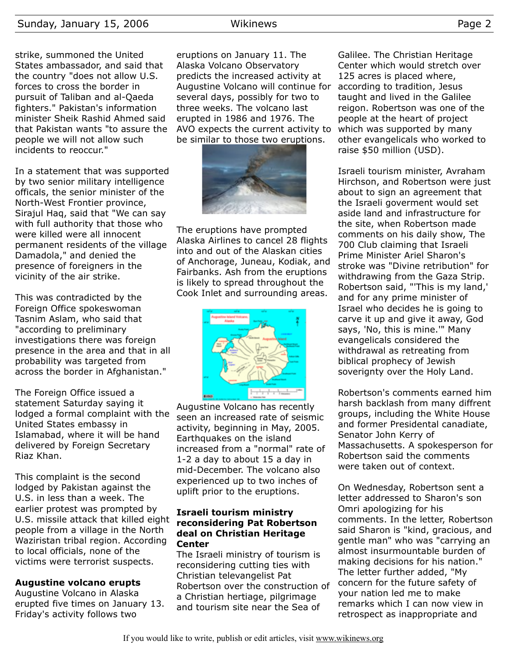### Sunday, January 15, 2006 Wikinews Page 2

strike, summoned the United States ambassador, and said that the country "does not allow U.S. forces to cross the border in pursuit of Taliban and al-Qaeda fighters." Pakistan's information minister Sheik Rashid Ahmed said that Pakistan wants "to assure the people we will not allow such incidents to reoccur."

In a statement that was supported by two senior military intelligence officals, the senior minister of the North-West Frontier province, Sirajul Haq, said that "We can say with full authority that those who were killed were all innocent permanent residents of the village Damadola," and denied the presence of foreigners in the vicinity of the air strike.

This was contradicted by the Foreign Office spokeswoman Tasnim Aslam, who said that "according to preliminary investigations there was foreign presence in the area and that in all probability was targeted from across the border in Afghanistan."

The Foreign Office issued a statement Saturday saying it lodged a formal complaint with the United States embassy in Islamabad, where it will be hand delivered by Foreign Secretary Riaz Khan.

This complaint is the second lodged by Pakistan against the U.S. in less than a week. The earlier protest was prompted by U.S. missile attack that killed eight people from a village in the North Waziristan tribal region. According to local officials, none of the victims were terrorist suspects.

#### **Augustine volcano erupts**

Augustine Volcano in Alaska erupted five times on January 13. Friday's activity follows two

eruptions on January 11. The Alaska Volcano Observatory predicts the increased activity at Augustine Volcano will continue for several days, possibly for two to three weeks. The volcano last erupted in 1986 and 1976. The AVO expects the current activity to be similar to those two eruptions.



The eruptions have prompted Alaska Airlines to cancel 28 flights into and out of the Alaskan cities of Anchorage, Juneau, Kodiak, and Fairbanks. Ash from the eruptions is likely to spread throughout the Cook Inlet and surrounding areas.



Augustine Volcano has recently seen an increased rate of seismic activity, beginning in May, 2005. Earthquakes on the island increased from a "normal" rate of 1-2 a day to about 15 a day in mid-December. The volcano also experienced up to two inches of uplift prior to the eruptions.

#### **Israeli tourism ministry reconsidering Pat Robertson deal on Christian Heritage Center**

The Israeli ministry of tourism is reconsidering cutting ties with Christian televangelist Pat Robertson over the construction of a Christian hertiage, pilgrimage and tourism site near the Sea of

Galilee. The Christian Heritage Center which would stretch over 125 acres is placed where, according to tradition, Jesus taught and lived in the Galilee reigon. Robertson was one of the people at the heart of project which was supported by many other evangelicals who worked to raise \$50 million (USD).

Israeli tourism minister, Avraham Hirchson, and Robertson were just about to sign an agreement that the Israeli goverment would set aside land and infrastructure for the site, when Robertson made comments on his daily show, The 700 Club claiming that Israeli Prime Minister Ariel Sharon's stroke was "Divine retribution" for withdrawing from the Gaza Strip. Robertson said, "'This is my land,' and for any prime minister of Israel who decides he is going to carve it up and give it away, God says, 'No, this is mine.'" Many evangelicals considered the withdrawal as retreating from biblical prophecy of Jewish soverignty over the Holy Land.

Robertson's comments earned him harsh backlash from many diffrent groups, including the White House and former Presidental canadiate, Senator John Kerry of Massachusetts. A spokesperson for Robertson said the comments were taken out of context.

On Wednesday, Robertson sent a letter addressed to Sharon's son Omri apologizing for his comments. In the letter, Robertson said Sharon is "kind, gracious, and gentle man" who was "carrying an almost insurmountable burden of making decisions for his nation." The letter further added, "My concern for the future safety of your nation led me to make remarks which I can now view in retrospect as inappropriate and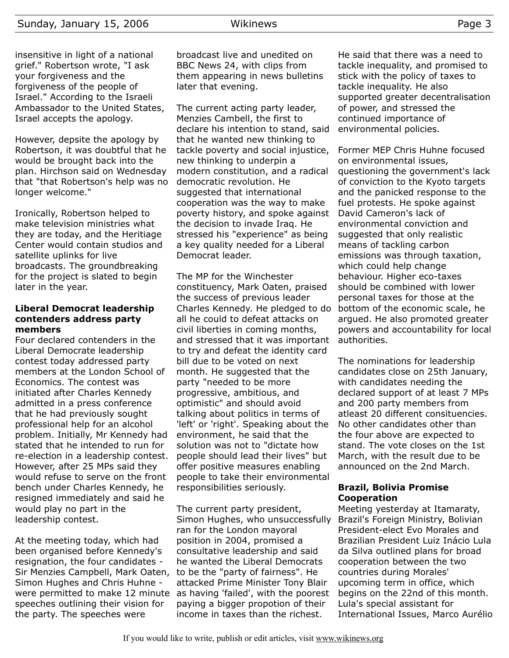## Sunday, January 15, 2006 Wikinews Page 3

insensitive in light of a national grief." Robertson wrote, "I ask your forgiveness and the forgiveness of the people of Israel." According to the Israeli Ambassador to the United States, Israel accepts the apology.

However, depsite the apology by Robertson, it was doubtful that he would be brought back into the plan. Hirchson said on Wednesday that "that Robertson's help was no longer welcome."

Ironically, Robertson helped to make television ministries what they are today, and the Heritiage Center would contain studios and satellite uplinks for live broadcasts. The groundbreaking for the project is slated to begin later in the year.

#### **Liberal Democrat leadership contenders address party members**

Four declared contenders in the Liberal Democrate leadership contest today addressed party members at the London School of Economics. The contest was initiated after Charles Kennedy admitted in a press conference that he had previously sought professional help for an alcohol problem. Initially, Mr Kennedy had stated that he intended to run for re-election in a leadership contest. However, after 25 MPs said they would refuse to serve on the front bench under Charles Kennedy, he resigned immediately and said he would play no part in the leadership contest.

At the meeting today, which had been organised before Kennedy's resignation, the four candidates - Sir Menzies Campbell, Mark Oaten, Simon Hughes and Chris Huhne were permitted to make 12 minute speeches outlining their vision for the party. The speeches were

broadcast live and unedited on BBC News 24, with clips from them appearing in news bulletins later that evening.

The current acting party leader, Menzies Cambell, the first to declare his intention to stand, said that he wanted new thinking to tackle poverty and social injustice, new thinking to underpin a modern constitution, and a radical democratic revolution. He suggested that international cooperation was the way to make poverty history, and spoke against the decision to invade Iraq. He stressed his "experience" as being a key quality needed for a Liberal Democrat leader.

The MP for the Winchester constituency, Mark Oaten, praised the success of previous leader Charles Kennedy. He pledged to do all he could to defeat attacks on civil liberties in coming months, and stressed that it was important to try and defeat the identity card bill due to be voted on next month. He suggested that the party "needed to be more progressive, ambitious, and optimistic" and should avoid talking about politics in terms of 'left' or 'right'. Speaking about the environment, he said that the solution was not to "dictate how people should lead their lives" but offer positive measures enabling people to take their environmental responsibilities seriously.

The current party president, Simon Hughes, who unsuccessfully ran for the London mayoral position in 2004, promised a consultative leadership and said he wanted the Liberal Democrats to be the "party of fairness". He attacked Prime Minister Tony Blair as having 'failed', with the poorest paying a bigger propotion of their income in taxes than the richest.

He said that there was a need to tackle inequality, and promised to stick with the policy of taxes to tackle inequality. He also supported greater decentralisation of power, and stressed the continued importance of environmental policies.

Former MEP Chris Huhne focused on environmental issues, questioning the government's lack of conviction to the Kyoto targets and the panicked response to the fuel protests. He spoke against David Cameron's lack of environmental conviction and suggested that only realistic means of tackling carbon emissions was through taxation, which could help change behaviour. Higher eco-taxes should be combined with lower personal taxes for those at the bottom of the economic scale, he argued. He also promoted greater powers and accountability for local authorities.

The nominations for leadership candidates close on 25th January, with candidates needing the declared support of at least 7 MPs and 200 party members from atleast 20 different consituencies. No other candidates other than the four above are expected to stand. The vote closes on the 1st March, with the result due to be announced on the 2nd March.

#### **Brazil, Bolivia Promise Cooperation**

Meeting yesterday at Itamaraty, Brazil's Foreign Ministry, Bolivian President-elect Evo Morales and Brazilian President Luiz Inácio Lula da Silva outlined plans for broad cooperation between the two countries during Morales' upcoming term in office, which begins on the 22nd of this month. Lula's special assistant for International Issues, Marco Aurélio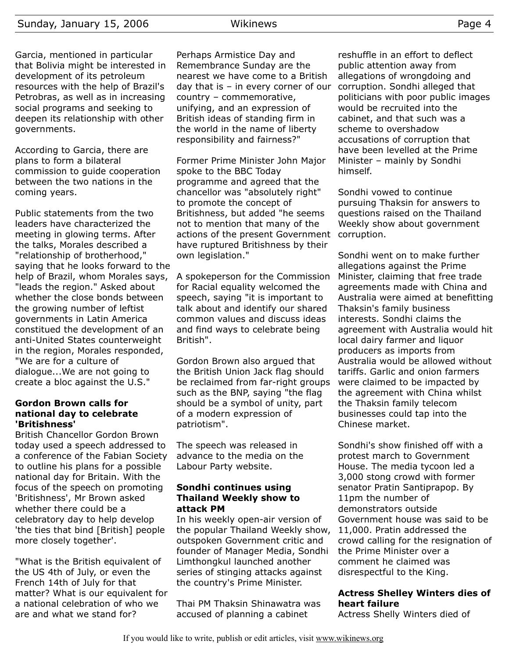Garcia, mentioned in particular that Bolivia might be interested in development of its petroleum resources with the help of Brazil's Petrobras, as well as in increasing social programs and seeking to deepen its relationship with other governments.

According to Garcia, there are plans to form a bilateral commission to guide cooperation between the two nations in the coming years.

Public statements from the two leaders have characterized the meeting in glowing terms. After the talks, Morales described a "relationship of brotherhood," saying that he looks forward to the help of Brazil, whom Morales says, "leads the region." Asked about whether the close bonds between the growing number of leftist governments in Latin America constitued the development of an anti-United States counterweight in the region, Morales responded, "We are for a culture of dialogue...We are not going to create a bloc against the U.S."

### **Gordon Brown calls for national day to celebrate 'Britishness'**

British Chancellor Gordon Brown today used a speech addressed to a conference of the Fabian Society to outline his plans for a possible national day for Britain. With the focus of the speech on promoting 'Britishness', Mr Brown asked whether there could be a celebratory day to help develop 'the ties that bind [British] people more closely together'.

"What is the British equivalent of the US 4th of July, or even the French 14th of July for that matter? What is our equivalent for a national celebration of who we are and what we stand for?

Perhaps Armistice Day and Remembrance Sunday are the nearest we have come to a British day that is – in every corner of our country – commemorative, unifying, and an expression of British ideas of standing firm in the world in the name of liberty responsibility and fairness?"

Former Prime Minister John Major spoke to the BBC Today programme and agreed that the chancellor was "absolutely right" to promote the concept of Britishness, but added "he seems not to mention that many of the actions of the present Government have ruptured Britishness by their own legislation."

A spokeperson for the Commission for Racial equality welcomed the speech, saying "it is important to talk about and identify our shared common values and discuss ideas and find ways to celebrate being British".

Gordon Brown also argued that the British Union Jack flag should be reclaimed from far-right groups such as the BNP, saying "the flag should be a symbol of unity, part of a modern expression of patriotism".

The speech was released in advance to the media on the Labour Party website.

#### **Sondhi continues using Thailand Weekly show to attack PM**

In his weekly open-air version of the popular Thailand Weekly show, outspoken Government critic and founder of Manager Media, Sondhi Limthongkul launched another series of stinging attacks against the country's Prime Minister.

Thai PM Thaksin Shinawatra was accused of planning a cabinet

reshuffle in an effort to deflect public attention away from allegations of wrongdoing and corruption. Sondhi alleged that politicians with poor public images would be recruited into the cabinet, and that such was a scheme to overshadow accusations of corruption that have been levelled at the Prime Minister – mainly by Sondhi himself.

Sondhi vowed to continue pursuing Thaksin for answers to questions raised on the Thailand Weekly show about government corruption.

Sondhi went on to make further allegations against the Prime Minister, claiming that free trade agreements made with China and Australia were aimed at benefitting Thaksin's family business interests. Sondhi claims the agreement with Australia would hit local dairy farmer and liquor producers as imports from Australia would be allowed without tariffs. Garlic and onion farmers were claimed to be impacted by the agreement with China whilst the Thaksin family telecom businesses could tap into the Chinese market.

Sondhi's show finished off with a protest march to Government House. The media tycoon led a 3,000 stong crowd with former senator Pratin Santiprapop. By 11pm the number of demonstrators outside Government house was said to be 11,000. Pratin addressed the crowd calling for the resignation of the Prime Minister over a comment he claimed was disrespectful to the King.

# **Actress Shelley Winters dies of heart failure**

Actress Shelly Winters died of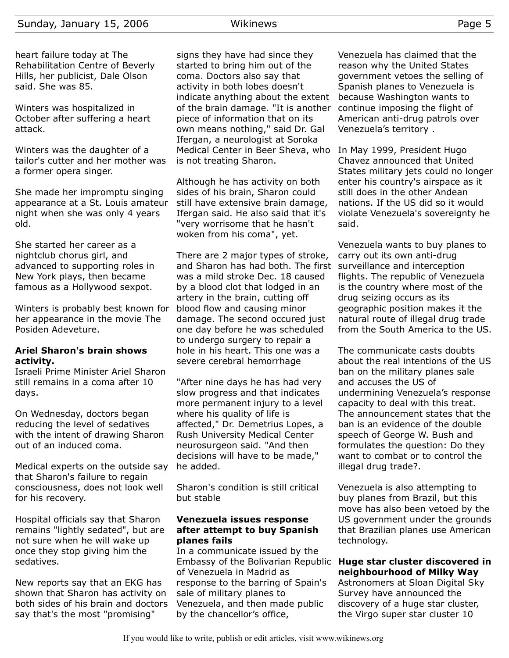heart failure today at The Rehabilitation Centre of Beverly Hills, her publicist, Dale Olson said. She was 85.

Winters was hospitalized in October after suffering a heart attack.

Winters was the daughter of a tailor's cutter and her mother was a former opera singer.

She made her impromptu singing appearance at a St. Louis amateur night when she was only 4 years old.

She started her career as a nightclub chorus girl, and advanced to supporting roles in New York plays, then became famous as a Hollywood sexpot.

Winters is probably best known for her appearance in the movie The Posiden Adeveture.

### **Ariel Sharon's brain shows activity.**

Israeli Prime Minister Ariel Sharon still remains in a coma after 10 days.

On Wednesday, doctors began reducing the level of sedatives with the intent of drawing Sharon out of an induced coma.

Medical experts on the outside say that Sharon's failure to regain consciousness, does not look well for his recovery.

Hospital officials say that Sharon remains "lightly sedated", but are not sure when he will wake up once they stop giving him the sedatives.

New reports say that an EKG has shown that Sharon has activity on both sides of his brain and doctors say that's the most "promising"

signs they have had since they started to bring him out of the coma. Doctors also say that activity in both lobes doesn't indicate anything about the extent of the brain damage. "It is another piece of information that on its own means nothing," said Dr. Gal Ifergan, a neurologist at Soroka Medical Center in Beer Sheva, who is not treating Sharon.

Although he has activity on both sides of his brain, Sharon could still have extensive brain damage, Ifergan said. He also said that it's "very worrisome that he hasn't woken from his coma", yet.

There are 2 major types of stroke, and Sharon has had both. The first was a mild stroke Dec. 18 caused by a blood clot that lodged in an artery in the brain, cutting off blood flow and causing minor damage. The second occured just one day before he was scheduled to undergo surgery to repair a hole in his heart. This one was a severe cerebral hemorrhage

"After nine days he has had very slow progress and that indicates more permanent injury to a level where his quality of life is affected," Dr. Demetrius Lopes, a Rush University Medical Center neurosurgeon said. "And then decisions will have to be made," he added.

Sharon's condition is still critical but stable

### **Venezuela issues response after attempt to buy Spanish planes fails**

In a communicate issued by the Embassy of the Bolivarian Republic of Venezuela in Madrid as response to the barring of Spain's sale of military planes to Venezuela, and then made public by the chancellor's office,

Venezuela has claimed that the reason why the United States government vetoes the selling of Spanish planes to Venezuela is because Washington wants to continue imposing the flight of American anti-drug patrols over Venezuela's territory .

In May 1999, President Hugo Chavez announced that United States military jets could no longer enter his country's airspace as it still does in the other Andean nations. If the US did so it would violate Venezuela's sovereignty he said.

Venezuela wants to buy planes to carry out its own anti-drug surveillance and interception flights. The republic of Venezuela is the country where most of the drug seizing occurs as its geographic position makes it the natural route of illegal drug trade from the South America to the US.

The communicate casts doubts about the real intentions of the US ban on the military planes sale and accuses the US of undermining Venezuela's response capacity to deal with this treat. The announcement states that the ban is an evidence of the double speech of George W. Bush and formulates the question: Do they want to combat or to control the illegal drug trade?.

Venezuela is also attempting to buy planes from Brazil, but this move has also been vetoed by the US government under the grounds that Brazilian planes use American technology.

## **Huge star cluster discovered in neighbourhood of Milky Way**

Astronomers at Sloan Digital Sky Survey have announced the discovery of a huge star cluster, the Virgo super star cluster 10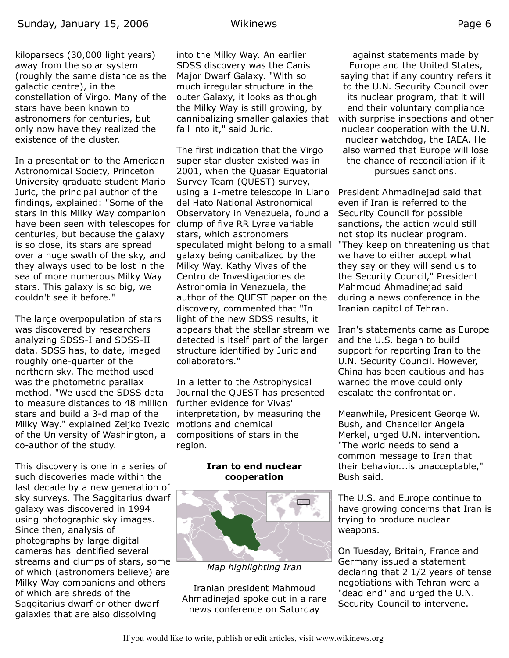kiloparsecs (30,000 light years) away from the solar system (roughly the same distance as the galactic centre), in the constellation of Virgo. Many of the stars have been known to astronomers for centuries, but only now have they realized the existence of the cluster.

In a presentation to the American Astronomical Society, Princeton University graduate student Mario Juric, the principal author of the findings, explained: "Some of the stars in this Milky Way companion have been seen with telescopes for clump of five RR Lyrae variable centuries, but because the galaxy is so close, its stars are spread over a huge swath of the sky, and they always used to be lost in the sea of more numerous Milky Way stars. This galaxy is so big, we couldn't see it before."

The large overpopulation of stars was discovered by researchers analyzing SDSS-I and SDSS-II data. SDSS has, to date, imaged roughly one-quarter of the northern sky. The method used was the photometric parallax method. "We used the SDSS data to measure distances to 48 million stars and build a 3-d map of the Milky Way." explained Zeljko Ivezic of the University of Washington, a co-author of the study.

This discovery is one in a series of such discoveries made within the last decade by a new generation of sky surveys. The Saggitarius dwarf galaxy was discovered in 1994 using photographic sky images. Since then, analysis of photographs by large digital cameras has identified several streams and clumps of stars, some of which (astronomers believe) are Milky Way companions and others of which are shreds of the Saggitarius dwarf or other dwarf galaxies that are also dissolving

into the Milky Way. An earlier SDSS discovery was the Canis Major Dwarf Galaxy. "With so much irregular structure in the outer Galaxy, it looks as though the Milky Way is still growing, by cannibalizing smaller galaxies that fall into it," said Juric.

The first indication that the Virgo super star cluster existed was in 2001, when the Quasar Equatorial Survey Team (QUEST) survey, using a 1-metre telescope in Llano del Hato National Astronomical Observatory in Venezuela, found a stars, which astronomers speculated might belong to a small galaxy being canibalized by the Milky Way. Kathy Vivas of the Centro de Investigaciones de Astronomia in Venezuela, the author of the QUEST paper on the discovery, commented that "In light of the new SDSS results, it appears that the stellar stream we detected is itself part of the larger structure identified by Juric and collaborators."

In a letter to the Astrophysical Journal the QUEST has presented further evidence for Vivas' interpretation, by measuring the motions and chemical compositions of stars in the region.

#### **Iran to end nuclear cooperation**



*Map highlighting Iran*

Iranian president Mahmoud Ahmadinejad spoke out in a rare news conference on Saturday

against statements made by Europe and the United States, saying that if any country refers it to the U.N. Security Council over its nuclear program, that it will end their voluntary compliance with surprise inspections and other nuclear cooperation with the U.N. nuclear watchdog, the IAEA. He also warned that Europe will lose the chance of reconciliation if it pursues sanctions.

President Ahmadinejad said that even if Iran is referred to the Security Council for possible sanctions, the action would still not stop its nuclear program. "They keep on threatening us that we have to either accept what they say or they will send us to the Security Council," President Mahmoud Ahmadinejad said during a news conference in the Iranian capitol of Tehran.

Iran's statements came as Europe and the U.S. began to build support for reporting Iran to the U.N. Security Council. However, China has been cautious and has warned the move could only escalate the confrontation.

Meanwhile, President George W. Bush, and Chancellor Angela Merkel, urged U.N. intervention. "The world needs to send a common message to Iran that their behavior...is unacceptable," Bush said.

The U.S. and Europe continue to have growing concerns that Iran is trying to produce nuclear weapons.

On Tuesday, Britain, France and Germany issued a statement declaring that 2 1/2 years of tense negotiations with Tehran were a "dead end" and urged the U.N. Security Council to intervene.